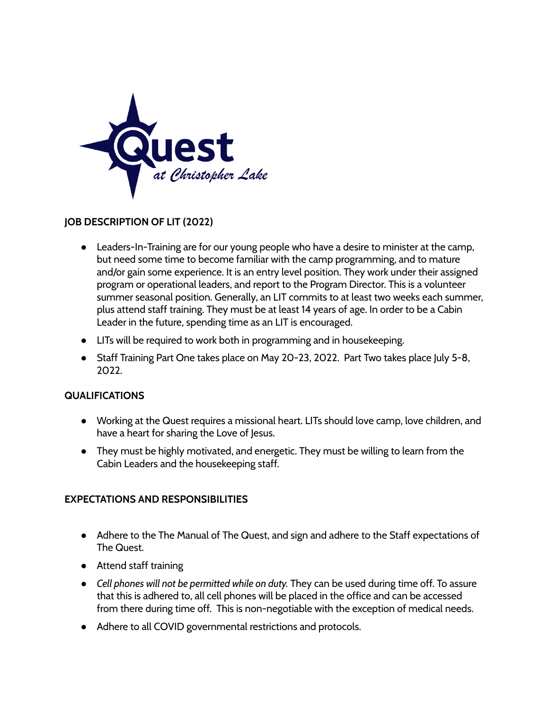

## **JOB DESCRIPTION OF LIT (2022)**

- Leaders-In-Training are for our young people who have a desire to minister at the camp, but need some time to become familiar with the camp programming, and to mature and/or gain some experience. It is an entry level position. They work under their assigned program or operational leaders, and report to the Program Director. This is a volunteer summer seasonal position. Generally, an LIT commits to at least two weeks each summer, plus attend staff training. They must be at least 14 years of age. In order to be a Cabin Leader in the future, spending time as an LIT is encouraged.
- LITs will be required to work both in programming and in housekeeping.
- Staff Training Part One takes place on May 20-23, 2022. Part Two takes place July 5-8, 2022.

## **QUALIFICATIONS**

- Working at the Quest requires a missional heart. LITs should love camp, love children, and have a heart for sharing the Love of Jesus.
- They must be highly motivated, and energetic. They must be willing to learn from the Cabin Leaders and the housekeeping staff.

## **EXPECTATIONS AND RESPONSIBILITIES**

- Adhere to the The Manual of The Quest, and sign and adhere to the Staff expectations of The Quest.
- Attend staff training
- *Cell phones will not be permitted while on duty.* They can be used during time off. To assure that this is adhered to, all cell phones will be placed in the office and can be accessed from there during time off. This is non-negotiable with the exception of medical needs.
- Adhere to all COVID governmental restrictions and protocols.